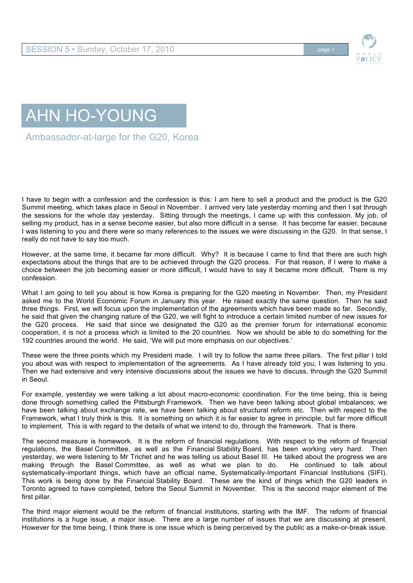



Ambassador-at-large for the G20, Korea

I have to begin with a confession and the confession is this: I am here to sell a product and the product is the G20 Summit meeting, which takes place in Seoul in November. I arrived very late yesterday morning and then I sat through the sessions for the whole day yesterday. Sitting through the meetings, I came up with this confession. My job, of selling my product, has in a sense become easier, but also more difficult in a sense. It has become far easier, because I was listening to you and there were so many references to the issues we were discussing in the G20. In that sense, I really do not have to say too much.

However, at the same time, it became far more difficult. Why? It is because I came to find that there are such high expectations about the things that are to be achieved through the G20 process. For that reason, if I were to make a choice between the job becoming easier or more difficult, I would have to say it became more difficult. There is my confession.

What I am going to tell you about is how Korea is preparing for the G20 meeting in November. Then, my President asked me to the World Economic Forum in January this year. He raised exactly the same question. Then he said three things. First, we will focus upon the implementation of the agreements which have been made so far. Secondly, he said that given the changing nature of the G20, we will fight to introduce a certain limited number of new issues for the G20 process. He said that since we designated the G20 as the premier forum for international economic cooperation, it is not a process which is limited to the 20 countries. Now we should be able to do something for the 192 countries around the world. He said, 'We will put more emphasis on our objectives.'

These were the three points which my President made. I will try to follow the same three pillars. The first pillar I told you about was with respect to implementation of the agreements. As I have already told you, I was listening to you. Then we had extensive and very intensive discussions about the issues we have to discuss, through the G20 Summit in Seoul.

For example, yesterday we were talking a lot about macro-economic coordination. For the time being, this is being done through something called the Pittsburgh Framework. Then we have been talking about global imbalances; we have been talking about exchange rate, we have been talking about structural reform etc. Then with respect to the Framework, what I truly think is this. It is something on which it is far easier to agree in principle, but far more difficult to implement. This is with regard to the details of what we intend to do, through the framework. That is there.

The second measure is homework. It is the reform of financial regulations. With respect to the reform of financial regulations, the Basel Committee, as well as the Financial Stability Board, has been working very hard. Then yesterday, we were listening to Mr Trichet and he was telling us about Basel III. He talked about the progress we are making through the Basel Committee, as well as what we plan to do. He continued to talk about systematically-important things, which have an official name, Systematically-Important Financial Institutions (SIFI). This work is being done by the Financial Stability Board. These are the kind of things which the G20 leaders in Toronto agreed to have completed, before the Seoul Summit in November. This is the second major element of the first pillar.

The third major element would be the reform of financial institutions, starting with the IMF. The reform of financial institutions is a huge issue, a major issue. There are a large number of issues that we are discussing at present. However for the time being, I think there is one issue which is being perceived by the public as a make-or-break issue.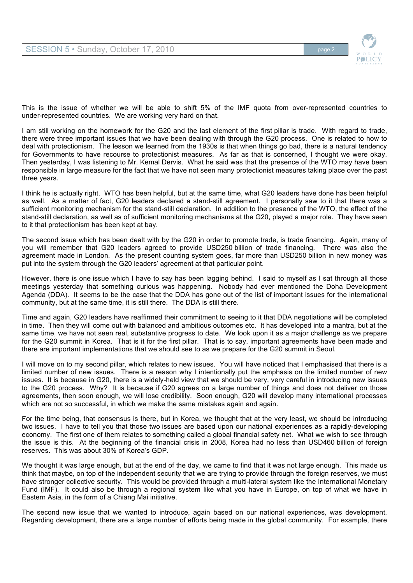

This is the issue of whether we will be able to shift 5% of the IMF quota from over-represented countries to under-represented countries. We are working very hard on that.

I am still working on the homework for the G20 and the last element of the first pillar is trade. With regard to trade, there were three important issues that we have been dealing with through the G20 process. One is related to how to deal with protectionism. The lesson we learned from the 1930s is that when things go bad, there is a natural tendency for Governments to have recourse to protectionist measures. As far as that is concerned, I thought we were okay. Then yesterday, I was listening to Mr. Kemal Dervis. What he said was that the presence of the WTO may have been responsible in large measure for the fact that we have not seen many protectionist measures taking place over the past three years.

I think he is actually right. WTO has been helpful, but at the same time, what G20 leaders have done has been helpful as well. As a matter of fact, G20 leaders declared a stand-still agreement. I personally saw to it that there was a sufficient monitoring mechanism for the stand-still declaration. In addition to the presence of the WTO, the effect of the stand-still declaration, as well as of sufficient monitoring mechanisms at the G20, played a major role. They have seen to it that protectionism has been kept at bay.

The second issue which has been dealt with by the G20 in order to promote trade, is trade financing. Again, many of you will remember that G20 leaders agreed to provide USD250 billion of trade financing. There was also the agreement made in London. As the present counting system goes, far more than USD250 billion in new money was put into the system through the G20 leaders' agreement at that particular point.

However, there is one issue which I have to say has been lagging behind. I said to myself as I sat through all those meetings yesterday that something curious was happening. Nobody had ever mentioned the Doha Development Agenda (DDA). It seems to be the case that the DDA has gone out of the list of important issues for the international community, but at the same time, it is still there. The DDA is still there.

Time and again, G20 leaders have reaffirmed their commitment to seeing to it that DDA negotiations will be completed in time. Then they will come out with balanced and ambitious outcomes etc. It has developed into a mantra, but at the same time, we have not seen real, substantive progress to date. We look upon it as a major challenge as we prepare for the G20 summit in Korea. That is it for the first pillar. That is to say, important agreements have been made and there are important implementations that we should see to as we prepare for the G20 summit in Seoul.

I will move on to my second pillar, which relates to new issues. You will have noticed that I emphasised that there is a limited number of new issues. There is a reason why I intentionally put the emphasis on the limited number of new issues. It is because in G20, there is a widely-held view that we should be very, very careful in introducing new issues to the G20 process. Why? It is because if G20 agrees on a large number of things and does not deliver on those agreements, then soon enough, we will lose credibility. Soon enough, G20 will develop many international processes which are not so successful, in which we make the same mistakes again and again.

For the time being, that consensus is there, but in Korea, we thought that at the very least, we should be introducing two issues. I have to tell you that those two issues are based upon our national experiences as a rapidly-developing economy. The first one of them relates to something called a global financial safety net. What we wish to see through the issue is this. At the beginning of the financial crisis in 2008, Korea had no less than USD460 billion of foreign reserves. This was about 30% of Korea's GDP.

We thought it was large enough, but at the end of the day, we came to find that it was not large enough. This made us think that maybe, on top of the independent security that we are trying to provide through the foreign reserves, we must have stronger collective security. This would be provided through a multi-lateral system like the International Monetary Fund (IMF). It could also be through a regional system like what you have in Europe, on top of what we have in Eastern Asia, in the form of a Chiang Mai initiative.

The second new issue that we wanted to introduce, again based on our national experiences, was development. Regarding development, there are a large number of efforts being made in the global community. For example, there